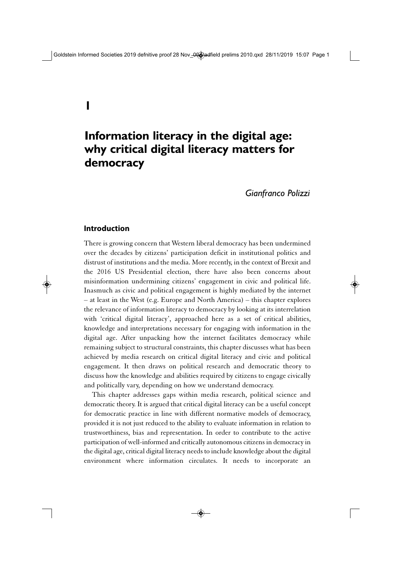# **Information literacy in the digital age: why critical digital literacy matters for democracy**

*Gianfranco Polizzi*

#### **Introduction**

There is growing concern that Western liberal democracy has been undermined over the decades by citizens' participation deficit in institutional politics and distrust of institutions and the media. More recently, in the context of Brexit and the 2016 US Presidential election, there have also been concerns about misinformation undermining citizens' engagement in civic and political life. Inasmuch as civic and political engagement is highly mediated by the internet – at least in the West (e.g. Europe and North America) – this chapter explores the relevance of information literacy to democracy by looking at its interrelation with 'critical digital literacy', approached here as a set of critical abilities, knowledge and interpretations necessary for engaging with information in the digital age. After unpacking how the internet facilitates democracy while remaining subject to structural constraints, this chapter discusses what has been achieved by media research on critical digital literacy and civic and political engagement. It then draws on political research and democratic theory to discuss how the knowledge and abilities required by citizens to engage civically and politically vary, depending on how we understand democracy.

This chapter addresses gaps within media research, political science and democratic theory. It is argued that critical digital literacy can be a useful concept for democratic practice in line with different normative models of democracy, provided it is not just reduced to the ability to evaluate information in relation to trustworthiness, bias and representation. In order to contribute to the active participation of well-informed and critically autonomous citizens in democracy in the digital age, critical digital literacy needs to include knowledge about the digital environment where information circulates. It needs to incorporate an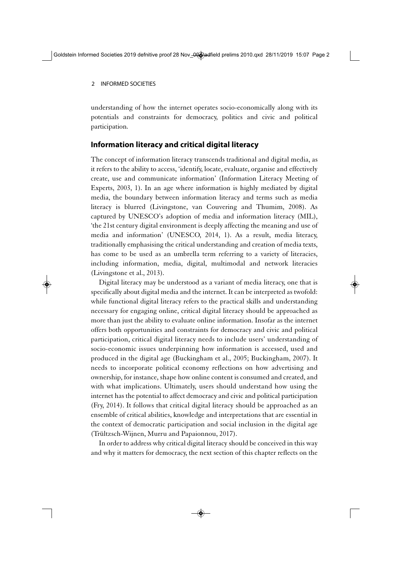understanding of how the internet operates socio-economically along with its potentials and constraints for democracy, politics and civic and political participation.

## **Information literacy and critical digital literacy**

The concept of information literacy transcends traditional and digital media, as it refers to the ability to access, 'identify, locate, evaluate, organise and effectively create, use and communicate information' (Information Literacy Meeting of Experts, 2003, 1). In an age where information is highly mediated by digital media, the boundary between information literacy and terms such as media literacy is blurred (Livingstone, van Couvering and Thumim, 2008). As captured by UNESCO's adoption of media and information literacy (MIL), 'the 21st century digital environment is deeply affecting the meaning and use of media and information' (UNESCO, 2014, 1). As a result, media literacy, traditionally emphasising the critical understanding and creation of media texts, has come to be used as an umbrella term referring to a variety of literacies, including information, media, digital, multimodal and network literacies (Livingstone et al., 2013).

Digital literacy may be understood as a variant of media literacy, one that is specifically about digital media and the internet. It can be interpreted as twofold: while functional digital literacy refers to the practical skills and understanding necessary for engaging online, critical digital literacy should be approached as more than just the ability to evaluate online information. Insofar as the internet offers both opportunities and constraints for democracy and civic and political participation, critical digital literacy needs to include users' understanding of socio-economic issues underpinning how information is accessed, used and produced in the digital age (Buckingham et al., 2005; Buckingham, 2007). It needs to incorporate political economy reflections on how advertising and ownership, for instance, shape how online content is consumed and created, and with what implications. Ultimately, users should understand how using the internet has the potential to affect democracy and civic and political participation (Fry, 2014). It follows that critical digital literacy should be approached as an ensemble of critical abilities, knowledge and interpretations that are essential in the context of democratic participation and social inclusion in the digital age (Trültzsch-Wijnen, Murru and Papaionnou, 2017).

In order to address why critical digital literacy should be conceived in this way and why it matters for democracy, the next section of this chapter reflects on the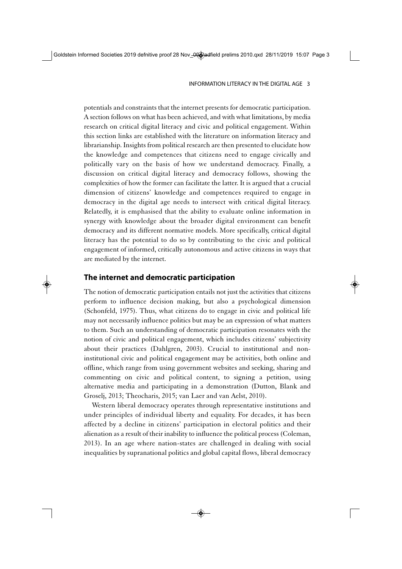potentials and constraints that the internet presents for democratic participation. A section follows on what has been achieved, and with what limitations, by media research on critical digital literacy and civic and political engagement. Within this section links are established with the literature on information literacy and librarianship. Insights from political research are then presented to elucidate how the knowledge and competences that citizens need to engage civically and politically vary on the basis of how we understand democracy. Finally, a discussion on critical digital literacy and democracy follows, showing the complexities of how the former can facilitate the latter. It is argued that a crucial dimension of citizens' knowledge and competences required to engage in democracy in the digital age needs to intersect with critical digital literacy. Relatedly, it is emphasised that the ability to evaluate online information in synergy with knowledge about the broader digital environment can benefit democracy and its different normative models. More specifically, critical digital literacy has the potential to do so by contributing to the civic and political engagement of informed, critically autonomous and active citizens in ways that are mediated by the internet.

### **The internet and democratic participation**

The notion of democratic participation entails not just the activities that citizens perform to influence decision making, but also a psychological dimension (Schonfeld, 1975). Thus, what citizens do to engage in civic and political life may not necessarily influence politics but may be an expression of what matters to them. Such an understanding of democratic participation resonates with the notion of civic and political engagement, which includes citizens' subjectivity about their practices (Dahlgren, 2003). Crucial to institutional and noninstitutional civic and political engagement may be activities, both online and offline, which range from using government websites and seeking, sharing and commenting on civic and political content, to signing a petition, using alternative media and participating in a demonstration (Dutton, Blank and Groselj, 2013; Theocharis, 2015; van Laer and van Aelst, 2010).

Western liberal democracy operates through representative institutions and under principles of individual liberty and equality. For decades, it has been affected by a decline in citizens' participation in electoral politics and their alienation as a result of their inability to influence the political process (Coleman, 2013). In an age where nation-states are challenged in dealing with social inequalities by supranational politics and global capital flows, liberal democracy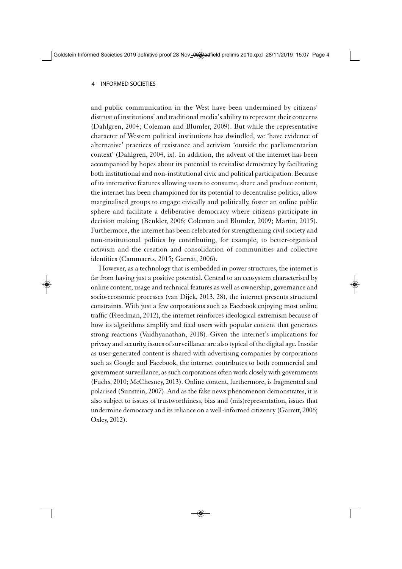and public communication in the West have been undermined by citizens' distrust of institutions' and traditional media's ability to represent their concerns (Dahlgren, 2004; Coleman and Blumler, 2009). But while the representative character of Western political institutions has dwindled, we 'have evidence of alternative' practices of resistance and activism 'outside the parliamentarian context' (Dahlgren, 2004, ix). In addition, the advent of the internet has been accompanied by hopes about its potential to revitalise democracy by facilitating both institutional and non-institutional civic and political participation. Because of its interactive features allowing users to consume, share and produce content, the internet has been championed for its potential to decentralise politics, allow marginalised groups to engage civically and politically, foster an online public sphere and facilitate a deliberative democracy where citizens participate in decision making (Benkler, 2006; Coleman and Blumler, 2009; Martin, 2015). Furthermore, the internet has been celebrated for strengthening civil society and non-institutional politics by contributing, for example, to better-organised activism and the creation and consolidation of communities and collective identities (Cammaerts, 2015; Garrett, 2006).

However, as a technology that is embedded in power structures, the internet is far from having just a positive potential. Central to an ecosystem characterised by online content, usage and technical features as well as ownership, governance and socio-economic processes (van Dijck, 2013, 28), the internet presents structural constraints. With just a few corporations such as Facebook enjoying most online traffic (Freedman, 2012), the internet reinforces ideological extremism because of how its algorithms amplify and feed users with popular content that generates strong reactions (Vaidhyanathan, 2018). Given the internet's implications for privacy and security, issues of surveillance are also typical of the digital age. Insofar as user-generated content is shared with advertising companies by corporations such as Google and Facebook, the internet contributes to both commercial and government surveillance, as such corporations often work closely with governments (Fuchs, 2010; McChesney, 2013). Online content, furthermore, is fragmented and polarised (Sunstein, 2007). And as the fake news phenomenon demonstrates, it is also subject to issues of trustworthiness, bias and (mis)representation, issues that undermine democracy and its reliance on a well-informed citizenry (Garrett, 2006; Oxley, 2012).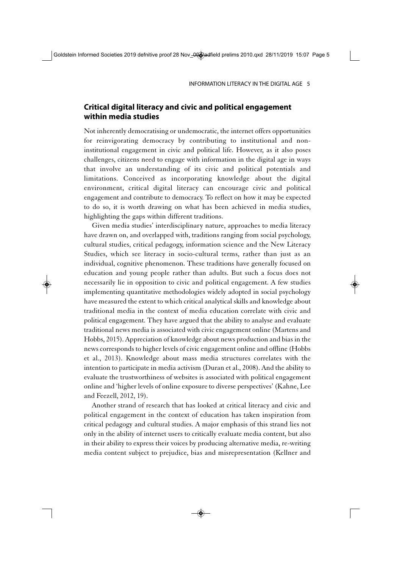## **Critical digital literacy and civic and political engagement within media studies**

Not inherently democratising or undemocratic, the internet offers opportunities for reinvigorating democracy by contributing to institutional and noninstitutional engagement in civic and political life. However, as it also poses challenges, citizens need to engage with information in the digital age in ways that involve an understanding of its civic and political potentials and limitations. Conceived as incorporating knowledge about the digital environment, critical digital literacy can encourage civic and political engagement and contribute to democracy. To reflect on how it may be expected to do so, it is worth drawing on what has been achieved in media studies, highlighting the gaps within different traditions.

Given media studies' interdisciplinary nature, approaches to media literacy have drawn on, and overlapped with, traditions ranging from social psychology, cultural studies, critical pedagogy, information science and the New Literacy Studies, which see literacy in socio-cultural terms, rather than just as an individual, cognitive phenomenon. These traditions have generally focused on education and young people rather than adults. But such a focus does not necessarily lie in opposition to civic and political engagement. A few studies implementing quantitative methodologies widely adopted in social psychology have measured the extent to which critical analytical skills and knowledge about traditional media in the context of media education correlate with civic and political engagement. They have argued that the ability to analyse and evaluate traditional news media is associated with civic engagement online (Martens and Hobbs, 2015). Appreciation of knowledge about news production and bias in the news corresponds to higher levels of civic engagement online and offline (Hobbs et al., 2013). Knowledge about mass media structures correlates with the intention to participate in media activism (Duran et al., 2008). And the ability to evaluate the trustworthiness of websites is associated with political engagement online and 'higher levels of online exposure to diverse perspectives' (Kahne, Lee and Feezell, 2012, 19).

Another strand of research that has looked at critical literacy and civic and political engagement in the context of education has taken inspiration from critical pedagogy and cultural studies. A major emphasis of this strand lies not only in the ability of internet users to critically evaluate media content, but also in their ability to express their voices by producing alternative media, re-writing media content subject to prejudice, bias and misrepresentation (Kellner and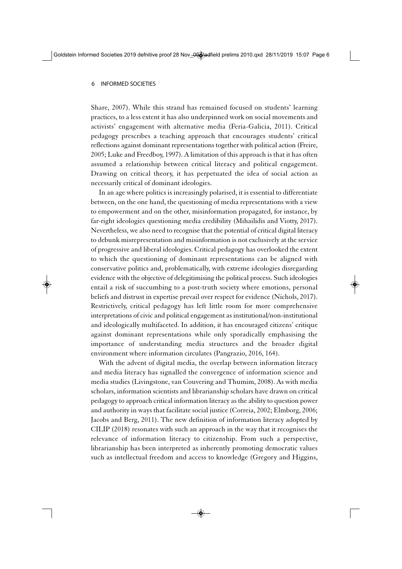Share, 2007). While this strand has remained focused on students' learning practices, to a less extent it has also underpinned work on social movements and activists' engagement with alternative media (Feria-Galicia, 2011). Critical pedagogy prescribes a teaching approach that encourages students' critical reflections against dominant representations together with political action (Freire, 2005; Luke and Freedboy, 1997). A limitation of this approach is that it has often assumed a relationship between critical literacy and political engagement. Drawing on critical theory, it has perpetuated the idea of social action as necessarily critical of dominant ideologies.

In an age where politics is increasingly polarised, it is essential to differentiate between, on the one hand, the questioning of media representations with a view to empowerment and on the other, misinformation propagated, for instance, by far-right ideologies questioning media credibility (Mihailidis and Viotty, 2017). Nevertheless, we also need to recognise that the potential of critical digital literacy to debunk misrepresentation and misinformation is not exclusively at the service of progressive and liberal ideologies. Critical pedagogy has overlooked the extent to which the questioning of dominant representations can be aligned with conservative politics and, problematically, with extreme ideologies disregarding evidence with the objective of delegitimising the political process. Such ideologies entail a risk of succumbing to a post-truth society where emotions, personal beliefs and distrust in expertise prevail over respect for evidence (Nichols, 2017). Restrictively, critical pedagogy has left little room for more comprehensive interpretations of civic and political engagement as institutional/non-institutional and ideologically multifaceted. In addition, it has encouraged citizens' critique against dominant representations while only sporadically emphasising the importance of understanding media structures and the broader digital environment where information circulates (Pangrazio, 2016, 164).

With the advent of digital media, the overlap between information literacy and media literacy has signalled the convergence of information science and media studies (Livingstone, van Couvering and Thumim, 2008). As with media scholars, information scientists and librarianship scholars have drawn on critical pedagogy to approach critical information literacy as the ability to question power and authority in ways that facilitate social justice (Correia, 2002; Elmborg, 2006; Jacobs and Berg, 2011). The new definition of information literacy adopted by CILIP (2018) resonates with such an approach in the way that it recognises the relevance of information literacy to citizenship. From such a perspective, librarianship has been interpreted as inherently promoting democratic values such as intellectual freedom and access to knowledge (Gregory and Higgins,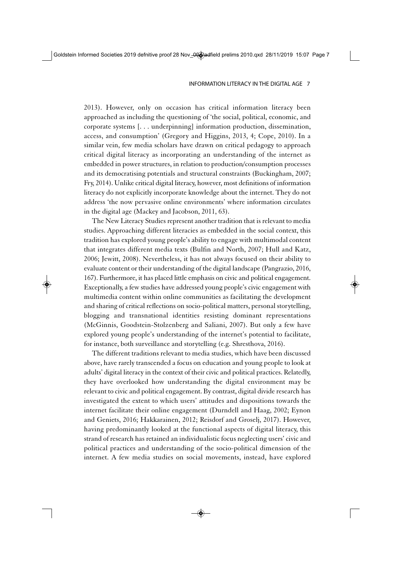2013). However, only on occasion has critical information literacy been approached as including the questioning of 'the social, political, economic, and corporate systems [. . . underpinning] information production, dissemination, access, and consumption' (Gregory and Higgins, 2013, 4; Cope, 2010). In a similar vein, few media scholars have drawn on critical pedagogy to approach critical digital literacy as incorporating an understanding of the internet as embedded in power structures, in relation to production/consumption processes and its democratising potentials and structural constraints (Buckingham, 2007; Fry, 2014). Unlike critical digital literacy, however, most definitions of information literacy do not explicitly incorporate knowledge about the internet. They do not address 'the now pervasive online environments' where information circulates in the digital age (Mackey and Jacobson, 2011, 63).

The New Literacy Studies represent another tradition that is relevant to media studies. Approaching different literacies as embedded in the social context, this tradition has explored young people's ability to engage with multimodal content that integrates different media texts (Bulfin and North, 2007; Hull and Katz, 2006; Jewitt, 2008). Nevertheless, it has not always focused on their ability to evaluate content or their understanding of the digital landscape (Pangrazio, 2016, 167). Furthermore, it has placed little emphasis on civic and political engagement. Exceptionally, a few studies have addressed young people's civic engagement with multimedia content within online communities as facilitating the development and sharing of critical reflections on socio-political matters, personal storytelling, blogging and transnational identities resisting dominant representations (McGinnis, Goodstein-Stolzenberg and Saliani, 2007). But only a few have explored young people's understanding of the internet's potential to facilitate, for instance, both surveillance and storytelling (e.g. Shresthova, 2016).

The different traditions relevant to media studies, which have been discussed above, have rarely transcended a focus on education and young people to look at adults' digital literacy in the context of their civic and political practices. Relatedly, they have overlooked how understanding the digital environment may be relevant to civic and political engagement. By contrast, digital divide research has investigated the extent to which users' attitudes and dispositions towards the internet facilitate their online engagement (Durndell and Haag, 2002; Eynon and Geniets, 2016; Hakkarainen, 2012; Reisdorf and Groselj, 2017). However, having predominantly looked at the functional aspects of digital literacy, this strand of research has retained an individualistic focus neglecting users' civic and political practices and understanding of the socio-political dimension of the internet. A few media studies on social movements, instead, have explored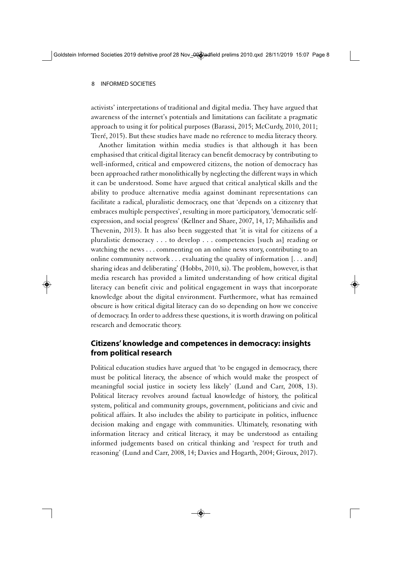activists' interpretations of traditional and digital media. They have argued that awareness of the internet's potentials and limitations can facilitate a pragmatic approach to using it for political purposes (Barassi, 2015; McCurdy, 2010, 2011; Treré, 2015). But these studies have made no reference to media literacy theory.

Another limitation within media studies is that although it has been emphasised that critical digital literacy can benefit democracy by contributing to well-informed, critical and empowered citizens, the notion of democracy has been approached rather monolithically by neglecting the different ways in which it can be understood. Some have argued that critical analytical skills and the ability to produce alternative media against dominant representations can facilitate a radical, pluralistic democracy, one that 'depends on a citizenry that embraces multiple perspectives', resulting in more participatory, 'democratic selfexpression, and social progress' (Kellner and Share, 2007, 14, 17; Mihailidis and Thevenin, 2013). It has also been suggested that 'it is vital for citizens of a pluralistic democracy . . . to develop . . . competencies [such as] reading or watching the news . . . commenting on an online news story, contributing to an online community network . . . evaluating the quality of information [. . . and] sharing ideas and deliberating' (Hobbs, 2010, xi). The problem, however, is that media research has provided a limited understanding of how critical digital literacy can benefit civic and political engagement in ways that incorporate knowledge about the digital environment. Furthermore, what has remained obscure is how critical digital literacy can do so depending on how we conceive of democracy. In order to address these questions, it is worth drawing on political research and democratic theory.

## **Citizens' knowledge and competences in democracy: insights from political research**

Political education studies have argued that 'to be engaged in democracy, there must be political literacy, the absence of which would make the prospect of meaningful social justice in society less likely' (Lund and Carr, 2008, 13). Political literacy revolves around factual knowledge of history, the political system, political and community groups, government, politicians and civic and political affairs. It also includes the ability to participate in politics, influence decision making and engage with communities. Ultimately, resonating with information literacy and critical literacy, it may be understood as entailing informed judgements based on critical thinking and 'respect for truth and reasoning' (Lund and Carr, 2008, 14; Davies and Hogarth, 2004; Giroux, 2017).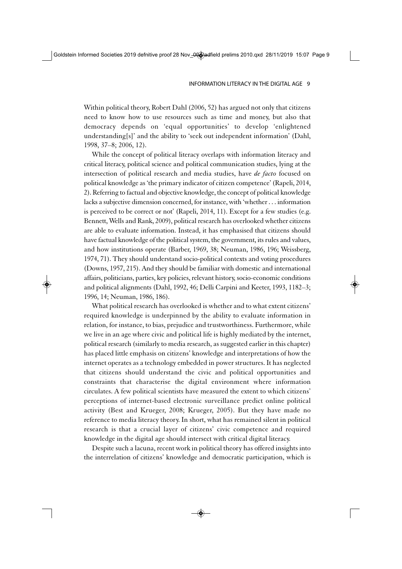Within political theory, Robert Dahl (2006, 52) has argued not only that citizens need to know how to use resources such as time and money, but also that democracy depends on 'equal opportunities' to develop 'enlightened understanding[s]' and the ability to 'seek out independent information' (Dahl, 1998, 37–8; 2006, 12).

While the concept of political literacy overlaps with information literacy and critical literacy, political science and political communication studies, lying at the intersection of political research and media studies, have *de facto* focused on political knowledge as 'the primary indicator of citizen competence' (Rapeli, 2014, 2). Referring to factual and objective knowledge, the concept of political knowledge lacks a subjective dimension concerned, for instance, with 'whether . . . information is perceived to be correct or not' (Rapeli, 2014, 11). Except for a few studies (e.g. Bennett, Wells and Rank, 2009), political research has overlooked whether citizens are able to evaluate information. Instead, it has emphasised that citizens should have factual knowledge of the political system, the government, its rules and values, and how institutions operate (Barber, 1969, 38; Neuman, 1986, 196; Weissberg, 1974, 71). They should understand socio-political contexts and voting procedures (Downs, 1957, 215). And they should be familiar with domestic and international affairs, politicians, parties, key policies, relevant history, socio-economic conditions and political alignments (Dahl, 1992, 46; Delli Carpini and Keeter, 1993, 1182–3; 1996, 14; Neuman, 1986, 186).

What political research has overlooked is whether and to what extent citizens' required knowledge is underpinned by the ability to evaluate information in relation, for instance, to bias, prejudice and trustworthiness. Furthermore, while we live in an age where civic and political life is highly mediated by the internet, political research (similarly to media research, as suggested earlier in this chapter) has placed little emphasis on citizens' knowledge and interpretations of how the internet operates as a technology embedded in power structures. It has neglected that citizens should understand the civic and political opportunities and constraints that characterise the digital environment where information circulates. A few political scientists have measured the extent to which citizens' perceptions of internet-based electronic surveillance predict online political activity (Best and Krueger, 2008; Krueger, 2005). But they have made no reference to media literacy theory. In short, what has remained silent in political research is that a crucial layer of citizens' civic competence and required knowledge in the digital age should intersect with critical digital literacy.

Despite such a lacuna, recent work in political theory has offered insights into the interrelation of citizens' knowledge and democratic participation, which is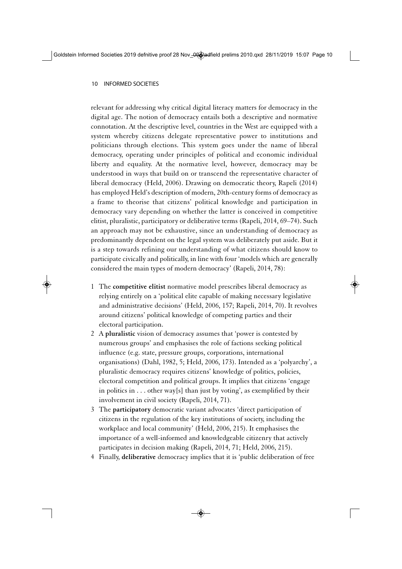relevant for addressing why critical digital literacy matters for democracy in the digital age. The notion of democracy entails both a descriptive and normative connotation. At the descriptive level, countries in the West are equipped with a system whereby citizens delegate representative power to institutions and politicians through elections. This system goes under the name of liberal democracy, operating under principles of political and economic individual liberty and equality. At the normative level, however, democracy may be understood in ways that build on or transcend the representative character of liberal democracy (Held, 2006). Drawing on democratic theory, Rapeli (2014) has employed Held's description of modern, 20th-century forms of democracy as a frame to theorise that citizens' political knowledge and participation in democracy vary depending on whether the latter is conceived in competitive elitist, pluralistic, participatory or deliberative terms (Rapeli, 2014, 69–74). Such an approach may not be exhaustive, since an understanding of democracy as predominantly dependent on the legal system was deliberately put aside. But it is a step towards refining our understanding of what citizens should know to participate civically and politically, in line with four 'models which are generally considered the main types of modern democracy' (Rapeli, 2014, 78):

- 1 The **competitive elitist** normative model prescribes liberal democracy as relying entirely on a 'political elite capable of making necessary legislative and administrative decisions' (Held, 2006, 157; Rapeli, 2014, 70). It revolves around citizens' political knowledge of competing parties and their electoral participation.
- 2 A **pluralistic** vision of democracy assumes that 'power is contested by numerous groups' and emphasises the role of factions seeking political influence (e.g. state, pressure groups, corporations, international organisations) (Dahl, 1982, 5; Held, 2006, 173). Intended as a 'polyarchy', a pluralistic democracy requires citizens' knowledge of politics, policies, electoral competition and political groups. It implies that citizens 'engage in politics in  $\dots$  other way[s] than just by voting', as exemplified by their involvement in civil society (Rapeli, 2014, 71).
- 3 The **participatory** democratic variant advocates 'direct participation of citizens in the regulation of the key institutions of society, including the workplace and local community' (Held, 2006, 215). It emphasises the importance of a well-informed and knowledgeable citizenry that actively participates in decision making (Rapeli, 2014, 71; Held, 2006, 215).
- 4 Finally, **deliberative** democracy implies that it is 'public deliberation of free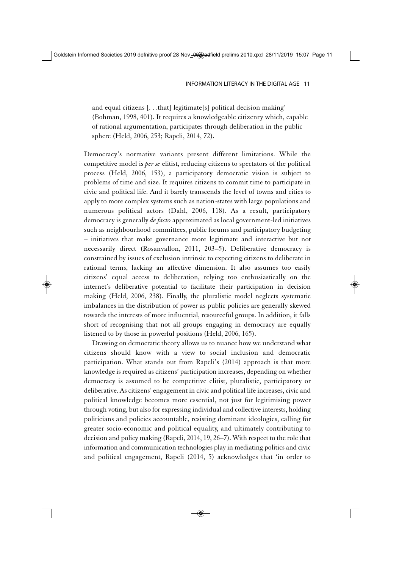and equal citizens [. . .that] legitimate[s] political decision making' (Bohman, 1998, 401). It requires a knowledgeable citizenry which, capable of rational argumentation, participates through deliberation in the public sphere (Held, 2006, 253; Rapeli, 2014, 72).

Democracy's normative variants present different limitations. While the competitive model is *per se* elitist, reducing citizens to spectators of the political process (Held, 2006, 153), a participatory democratic vision is subject to problems of time and size. It requires citizens to commit time to participate in civic and political life. And it barely transcends the level of towns and cities to apply to more complex systems such as nation-states with large populations and numerous political actors (Dahl, 2006, 118). As a result, participatory democracy is generally *de facto* approximated as local government-led initiatives such as neighbourhood committees, public forums and participatory budgeting – initiatives that make governance more legitimate and interactive but not necessarily direct (Rosanvallon, 2011, 203–5). Deliberative democracy is constrained by issues of exclusion intrinsic to expecting citizens to deliberate in rational terms, lacking an affective dimension. It also assumes too easily citizens' equal access to deliberation, relying too enthusiastically on the internet's deliberative potential to facilitate their participation in decision making (Held, 2006, 238). Finally, the pluralistic model neglects systematic imbalances in the distribution of power as public policies are generally skewed towards the interests of more influential, resourceful groups. In addition, it falls short of recognising that not all groups engaging in democracy are equally listened to by those in powerful positions (Held, 2006, 165).

Drawing on democratic theory allows us to nuance how we understand what citizens should know with a view to social inclusion and democratic participation. What stands out from Rapeli's (2014) approach is that more knowledge is required as citizens' participation increases, depending on whether democracy is assumed to be competitive elitist, pluralistic, participatory or deliberative. As citizens' engagement in civic and political life increases, civic and political knowledge becomes more essential, not just for legitimising power through voting, but also for expressing individual and collective interests, holding politicians and policies accountable, resisting dominant ideologies, calling for greater socio-economic and political equality, and ultimately contributing to decision and policy making (Rapeli, 2014, 19, 26–7). With respect to the role that information and communication technologies play in mediating politics and civic and political engagement, Rapeli (2014, 5) acknowledges that 'in order to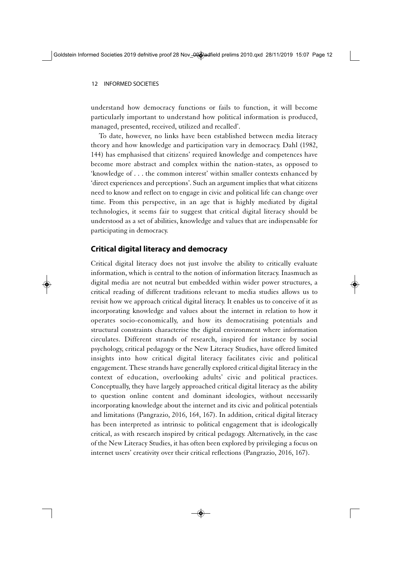understand how democracy functions or fails to function, it will become particularly important to understand how political information is produced, managed, presented, received, utilized and recalled'.

To date, however, no links have been established between media literacy theory and how knowledge and participation vary in democracy. Dahl (1982, 144) has emphasised that citizens' required knowledge and competences have become more abstract and complex within the nation-states, as opposed to 'knowledge of . . . the common interest' within smaller contexts enhanced by 'direct experiences and perceptions'. Such an argument implies that what citizens need to know and reflect on to engage in civic and political life can change over time. From this perspective, in an age that is highly mediated by digital technologies, it seems fair to suggest that critical digital literacy should be understood as a set of abilities, knowledge and values that are indispensable for participating in democracy.

# **Critical digital literacy and democracy**

Critical digital literacy does not just involve the ability to critically evaluate information, which is central to the notion of information literacy. Inasmuch as digital media are not neutral but embedded within wider power structures, a critical reading of different traditions relevant to media studies allows us to revisit how we approach critical digital literacy. It enables us to conceive of it as incorporating knowledge and values about the internet in relation to how it operates socio-economically, and how its democratising potentials and structural constraints characterise the digital environment where information circulates. Different strands of research, inspired for instance by social psychology, critical pedagogy or the New Literacy Studies, have offered limited insights into how critical digital literacy facilitates civic and political engagement. These strands have generally explored critical digital literacy in the context of education, overlooking adults' civic and political practices. Conceptually, they have largely approached critical digital literacy as the ability to question online content and dominant ideologies, without necessarily incorporating knowledge about the internet and its civic and political potentials and limitations (Pangrazio, 2016, 164, 167). In addition, critical digital literacy has been interpreted as intrinsic to political engagement that is ideologically critical, as with research inspired by critical pedagogy. Alternatively, in the case of the New Literacy Studies, it has often been explored by privileging a focus on internet users' creativity over their critical reflections (Pangrazio, 2016, 167).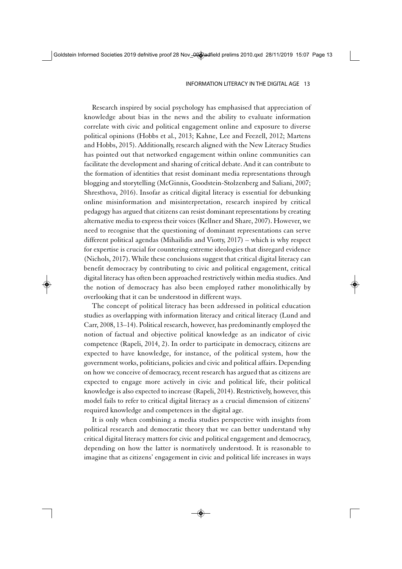Research inspired by social psychology has emphasised that appreciation of knowledge about bias in the news and the ability to evaluate information correlate with civic and political engagement online and exposure to diverse political opinions (Hobbs et al., 2013; Kahne, Lee and Feezell, 2012; Martens and Hobbs, 2015). Additionally, research aligned with the New Literacy Studies has pointed out that networked engagement within online communities can facilitate the development and sharing of critical debate. And it can contribute to the formation of identities that resist dominant media representations through blogging and storytelling (McGinnis, Goodstein-Stolzenberg and Saliani, 2007; Shresthova, 2016). Insofar as critical digital literacy is essential for debunking online misinformation and misinterpretation, research inspired by critical pedagogy has argued that citizens can resist dominant representations by creating alternative media to express their voices (Kellner and Share, 2007). However, we need to recognise that the questioning of dominant representations can serve different political agendas (Mihailidis and Viotty, 2017) – which is why respect for expertise is crucial for countering extreme ideologies that disregard evidence (Nichols, 2017). While these conclusions suggest that critical digital literacy can benefit democracy by contributing to civic and political engagement, critical digital literacy has often been approached restrictively within media studies. And the notion of democracy has also been employed rather monolithically by overlooking that it can be understood in different ways.

The concept of political literacy has been addressed in political education studies as overlapping with information literacy and critical literacy (Lund and Carr, 2008, 13–14). Political research, however, has predominantly employed the notion of factual and objective political knowledge as an indicator of civic competence (Rapeli, 2014, 2). In order to participate in democracy, citizens are expected to have knowledge, for instance, of the political system, how the government works, politicians, policies and civic and political affairs. Depending on how we conceive of democracy, recent research has argued that as citizens are expected to engage more actively in civic and political life, their political knowledge is also expected to increase (Rapeli, 2014). Restrictively, however, this model fails to refer to critical digital literacy as a crucial dimension of citizens' required knowledge and competences in the digital age.

It is only when combining a media studies perspective with insights from political research and democratic theory that we can better understand why critical digital literacy matters for civic and political engagement and democracy, depending on how the latter is normatively understood. It is reasonable to imagine that as citizens' engagement in civic and political life increases in ways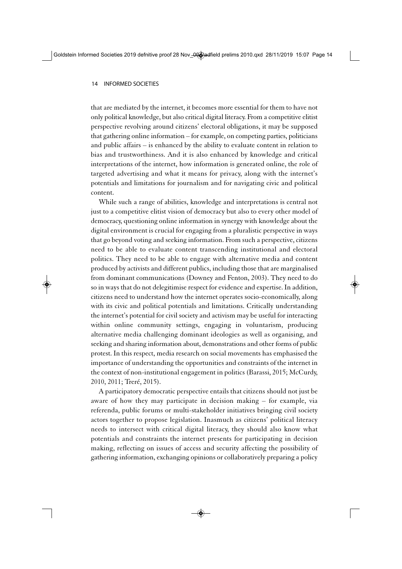that are mediated by the internet, it becomes more essential for them to have not only political knowledge, but also critical digital literacy. From a competitive elitist perspective revolving around citizens' electoral obligations, it may be supposed that gathering online information – for example, on competing parties, politicians and public affairs – is enhanced by the ability to evaluate content in relation to bias and trustworthiness. And it is also enhanced by knowledge and critical interpretations of the internet, how information is generated online, the role of targeted advertising and what it means for privacy, along with the internet's potentials and limitations for journalism and for navigating civic and political content.

While such a range of abilities, knowledge and interpretations is central not just to a competitive elitist vision of democracy but also to every other model of democracy, questioning online information in synergy with knowledge about the digital environment is crucial for engaging from a pluralistic perspective in ways that go beyond voting and seeking information. From such a perspective, citizens need to be able to evaluate content transcending institutional and electoral politics. They need to be able to engage with alternative media and content produced by activists and different publics, including those that are marginalised from dominant communications (Downey and Fenton, 2003). They need to do so in ways that do not delegitimise respect for evidence and expertise. In addition, citizens need to understand how the internet operates socio-economically, along with its civic and political potentials and limitations. Critically understanding the internet's potential for civil society and activism may be useful for interacting within online community settings, engaging in voluntarism, producing alternative media challenging dominant ideologies as well as organising, and seeking and sharing information about, demonstrations and other forms of public protest. In this respect, media research on social movements has emphasised the importance of understanding the opportunities and constraints of the internet in the context of non-institutional engagement in politics (Barassi, 2015; McCurdy, 2010, 2011; Treré, 2015).

A participatory democratic perspective entails that citizens should not just be aware of how they may participate in decision making – for example, via referenda, public forums or multi-stakeholder initiatives bringing civil society actors together to propose legislation. Inasmuch as citizens' political literacy needs to intersect with critical digital literacy, they should also know what potentials and constraints the internet presents for participating in decision making, reflecting on issues of access and security affecting the possibility of gathering information, exchanging opinions or collaboratively preparing a policy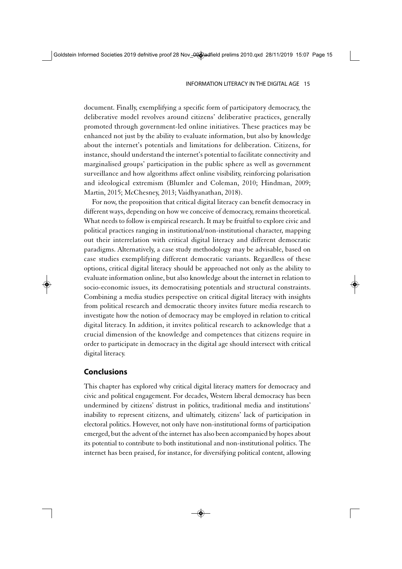document. Finally, exemplifying a specific form of participatory democracy, the deliberative model revolves around citizens' deliberative practices, generally promoted through government-led online initiatives. These practices may be enhanced not just by the ability to evaluate information, but also by knowledge about the internet's potentials and limitations for deliberation. Citizens, for instance, should understand the internet's potential to facilitate connectivity and marginalised groups' participation in the public sphere as well as government surveillance and how algorithms affect online visibility, reinforcing polarisation and ideological extremism (Blumler and Coleman, 2010; Hindman, 2009; Martin, 2015; McChesney, 2013; Vaidhyanathan, 2018).

For now, the proposition that critical digital literacy can benefit democracy in different ways, depending on how we conceive of democracy, remains theoretical. What needs to follow is empirical research. It may be fruitful to explore civic and political practices ranging in institutional/non-institutional character, mapping out their interrelation with critical digital literacy and different democratic paradigms. Alternatively, a case study methodology may be advisable, based on case studies exemplifying different democratic variants. Regardless of these options, critical digital literacy should be approached not only as the ability to evaluate information online, but also knowledge about the internet in relation to socio-economic issues, its democratising potentials and structural constraints. Combining a media studies perspective on critical digital literacy with insights from political research and democratic theory invites future media research to investigate how the notion of democracy may be employed in relation to critical digital literacy. In addition, it invites political research to acknowledge that a crucial dimension of the knowledge and competences that citizens require in order to participate in democracy in the digital age should intersect with critical digital literacy.

#### **Conclusions**

This chapter has explored why critical digital literacy matters for democracy and civic and political engagement. For decades, Western liberal democracy has been undermined by citizens' distrust in politics, traditional media and institutions' inability to represent citizens, and ultimately, citizens' lack of participation in electoral politics. However, not only have non-institutional forms of participation emerged, but the advent of the internet has also been accompanied by hopes about its potential to contribute to both institutional and non-institutional politics. The internet has been praised, for instance, for diversifying political content, allowing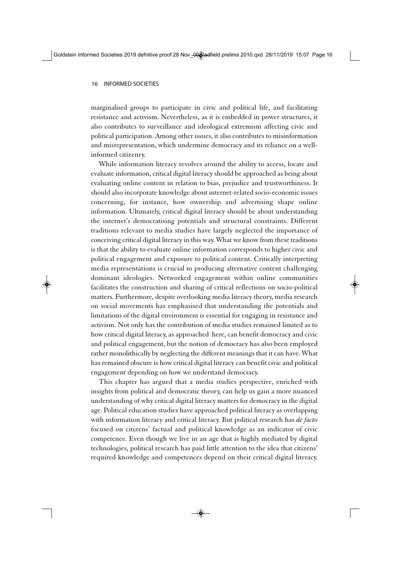marginalised groups to participate in civic and political life, and facilitating resistance and activism. Nevertheless, as it is embedded in power structures, it also contributes to surveillance and ideological extremism affecting civic and political participation. Among other issues, it also contributes to misinformation and misrepresentation, which undermine democracy and its reliance on a wellinformed citizenry.

While information literacy revolves around the ability to access, locate and evaluate information, critical digital literacy should be approached as being about evaluating online content in relation to bias, prejudice and trustworthiness. It should also incorporate knowledge about internet-related socio-economic issues concerning, for instance, how ownership and advertising shape online information. Ultimately, critical digital literacy should be about understanding the internet's democratising potentials and structural constraints. Different traditions relevant to media studies have largely neglected the importance of conceiving critical digital literacy in this way. What we know from these traditions is that the ability to evaluate online information corresponds to higher civic and political engagement and exposure to political content. Critically interpreting media representations is crucial to producing alternative content challenging dominant ideologies. Networked engagement within online communities facilitates the construction and sharing of critical reflections on socio-political matters. Furthermore, despite overlooking media literacy theory, media research on social movements has emphasised that understanding the potentials and limitations of the digital environment is essential for engaging in resistance and activism. Not only has the contribution of media studies remained limited as to how critical digital literacy, as approached here, can benefit democracy and civic and political engagement, but the notion of democracy has also been employed rather monolithically by neglecting the different meanings that it can have. What has remained obscure is how critical digital literacy can benefit civic and political engagement depending on how we understand democracy.

This chapter has argued that a media studies perspective, enriched with insights from political and democratic theory, can help us gain a more nuanced understanding of why critical digital literacy matters for democracy in the digital age. Political education studies have approached political literacy as overlapping with information literacy and critical literacy. But political research has *de facto* focused on citizens' factual and political knowledge as an indicator of civic competence. Even though we live in an age that is highly mediated by digital technologies, political research has paid little attention to the idea that citizens' required knowledge and competences depend on their critical digital literacy.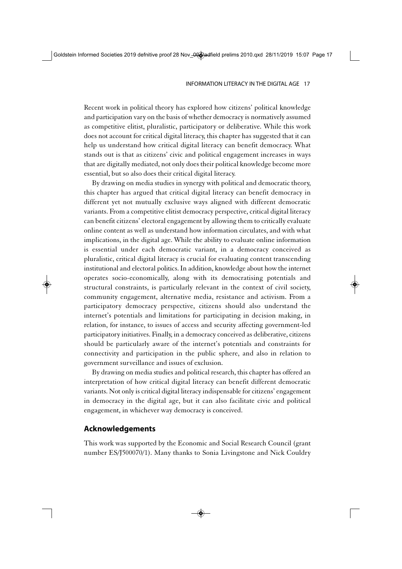Recent work in political theory has explored how citizens' political knowledge and participation vary on the basis of whether democracy is normatively assumed as competitive elitist, pluralistic, participatory or deliberative. While this work does not account for critical digital literacy, this chapter has suggested that it can help us understand how critical digital literacy can benefit democracy. What stands out is that as citizens' civic and political engagement increases in ways that are digitally mediated, not only does their political knowledge become more essential, but so also does their critical digital literacy.

By drawing on media studies in synergy with political and democratic theory, this chapter has argued that critical digital literacy can benefit democracy in different yet not mutually exclusive ways aligned with different democratic variants. From a competitive elitist democracy perspective, critical digital literacy can benefit citizens' electoral engagement by allowing them to critically evaluate online content as well as understand how information circulates, and with what implications, in the digital age. While the ability to evaluate online information is essential under each democratic variant, in a democracy conceived as pluralistic, critical digital literacy is crucial for evaluating content transcending institutional and electoral politics. In addition, knowledge about how the internet operates socio-economically, along with its democratising potentials and structural constraints, is particularly relevant in the context of civil society, community engagement, alternative media, resistance and activism. From a participatory democracy perspective, citizens should also understand the internet's potentials and limitations for participating in decision making, in relation, for instance, to issues of access and security affecting government-led participatory initiatives. Finally, in a democracy conceived as deliberative, citizens should be particularly aware of the internet's potentials and constraints for connectivity and participation in the public sphere, and also in relation to government surveillance and issues of exclusion.

By drawing on media studies and political research, this chapter has offered an interpretation of how critical digital literacy can benefit different democratic variants. Not only is critical digital literacy indispensable for citizens' engagement in democracy in the digital age, but it can also facilitate civic and political engagement, in whichever way democracy is conceived.

### **Acknowledgements**

This work was supported by the Economic and Social Research Council (grant number ES/J500070/1). Many thanks to Sonia Livingstone and Nick Couldry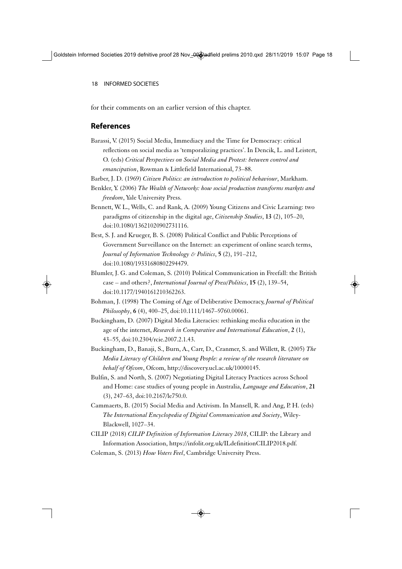for their comments on an earlier version of this chapter.

## **References**

Barassi, V. (2015) Social Media, Immediacy and the Time for Democracy: critical reflections on social media as 'temporalizing practices'. In Dencik, L. and Leistert, O. (eds) *Critical Perspectives on Social Media and Protest: between control and emancipation*, Rowman & Littlefield International, 73–88.

Barber, J. D. (1969) *Citizen Politics: an introduction to political behaviour*, Markham.

- Benkler, Y. (2006) *The Wealth of Networks: how social production transforms markets and freedom*, Yale University Press.
- Bennett, W. L., Wells, C. and Rank, A. (2009) Young Citizens and Civic Learning: two paradigms of citizenship in the digital age, *Citizenship Studies*, **13** (2), 105–20, doi:10.1080/13621020902731116.
- Best, S. J. and Krueger, B. S. (2008) Political Conflict and Public Perceptions of Government Surveillance on the Internet: an experiment of online search terms, *Journal of Information Technology & Politics*, **5** (2), 191–212, doi:10.1080/19331680802294479.
- Blumler, J. G. and Coleman, S. (2010) Political Communication in Freefall: the British case – and others?, *International Journal of Press/Politics*, **15** (2), 139–54, doi:10.1177/1940161210362263.
- Bohman, J. (1998) The Coming of Age of Deliberative Democracy, *Journal of Political Philosophy*, **6** (4), 400–25, doi:10.1111/1467–9760.00061.
- Buckingham, D. (2007) Digital Media Literacies: rethinking media education in the age of the internet, *Research in Comparative and International Education*, **2** (1), 43–55, doi:10.2304/rcie.2007.2.1.43.
- Buckingham, D., Banaji, S., Burn, A., Carr, D., Cranmer, S. and Willett, R. (2005) *The Media Literacy of Children and Young People: a review of the research literature on behalf of Ofcom*, Ofcom, http://discovery.ucl.ac.uk/10000145.
- Bulfin, S. and North, S. (2007) Negotiating Digital Literacy Practices across School and Home: case studies of young people in Australia, *Language and Education*, **21** (3), 247–63, doi:10.2167/le750.0.
- Cammaerts, B. (2015) Social Media and Activism. In Mansell, R. and Ang, P. H. (eds) *The International Encyclopedia of Digital Communication and Society*, Wiley-Blackwell, 1027–34.
- CILIP (2018) *CILIP Definition of Information Literacy 2018*, CILIP: the Library and Information Association, https://infolit.org.uk/ILdefinitionCILIP2018.pdf.
- Coleman, S. (2013) *How Voters Feel*, Cambridge University Press.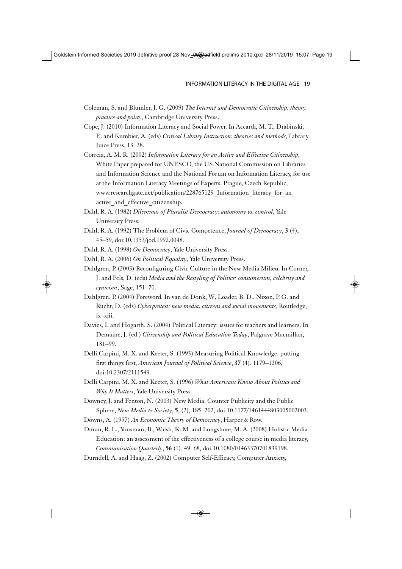- Coleman, S. and Blumler, J. G. (2009) *The Internet and Democratic Citizenship: theory, practice and polity*, Cambridge University Press.
- Cope, J. (2010) Information Literacy and Social Power. In Accardi, M. T., Drabinski, E. and Kumbier, A. (eds) *Critical Library Instruction: theories and methods*, Library Juice Press, 13–28.
- Correia, A. M. R. (2002) *Information Literacy for an Active and Effective Citizenship*, White Paper prepared for UNESCO, the US National Commission on Libraries and Information Science and the National Forum on Information Literacy, for use at the Information Literacy Meetings of Experts. Prague, Czech Republic, www.researchgate.net/publication/228765129 Information literacy for an active and effective citizenship.
- Dahl, R. A. (1982) *Dilemmas of Pluralist Democracy: autonomy vs. control*, Yale University Press.
- Dahl, R. A. (1992) The Problem of Civic Competence, *Journal of Democracy*, **3** (4), 45–59, doi:10.1353/jod.1992.0048.
- Dahl, R. A. (1998) *On Democracy*, Yale University Press.
- Dahl, R. A. (2006) *On Political Equality*, Yale University Press.
- Dahlgren, P. (2003) Reconfiguring Civic Culture in the New Media Milieu. In Corner, J. and Pels, D. (eds) *Media and the Restyling of Politics: consumerism, celebrity and cynicism*, Sage, 151–70.
- Dahlgren, P. (2004) Foreword. In van de Donk, W., Loader, B. D., Nixon, P. G. and Rucht, D. (eds) *Cyberprotest: new media, citizens and social movements*, Routledge, ix–xiii.
- Davies, I. and Hogarth, S. (2004) Political Literacy: issues for teachers and learners. In Demaine, J. (ed.) *Citizenship and Political Education Today*, Palgrave Macmillan, 181–99.
- Delli Carpini, M. X. and Keeter, S. (1993) Measuring Political Knowledge: putting first things first, *American Journal of Political Science*, **37** (4), 1179–1206, doi:10.2307/2111549.
- Delli Carpini, M. X. and Keeter, S. (1996) *What Americans Know About Politics and Why It Matters*, Yale University Press.
- Downey, J. and Fenton, N. (2003) New Media, Counter Publicity and the Public Sphere, *New Media & Society*, **5**, (2), 185–202, doi:10.1177/1461444803005002003.
- Downs, A. (1957) *An Economic Theory of Democracy*, Harper & Row.

Duran, R. L., Yousman, B., Walsh, K. M. and Longshore, M. A. (2008) Holistic Media Education: an assessment of the effectiveness of a college course in media literacy, *Communication Quarterly*, **56** (1), 49–68, doi:10.1080/01463370701839198.

Durndell, A. and Haag, Z. (2002) Computer Self-Efficacy, Computer Anxiety,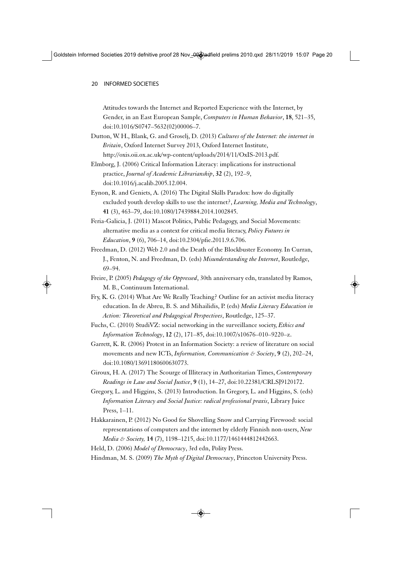Attitudes towards the Internet and Reported Experience with the Internet, by Gender, in an East European Sample, *Computers in Human Behavior*, **18**, 521–35, doi:10.1016/S0747–5632(02)00006–7.

- Dutton, W. H., Blank, G. and Groselj, D. (2013) *Cultures of the Internet: the internet in Britain*, Oxford Internet Survey 2013, Oxford Internet Institute, http://oxis.oii.ox.ac.uk/wp-content/uploads/2014/11/OxIS-2013.pdf.
- Elmborg, J. (2006) Critical Information Literacy: implications for instructional practice, *Journal of Academic Librarianship*, **32** (2), 192–9, doi:10.1016/j.acalib.2005.12.004.
- Eynon, R. and Geniets, A. (2016) The Digital Skills Paradox: how do digitally excluded youth develop skills to use the internet?, *Learning, Media and Technology*, **41** (3), 463–79, doi:10.1080/17439884.2014.1002845.
- Feria-Galicia, J. (2011) Mascot Politics, Public Pedagogy, and Social Movements: alternative media as a context for critical media literacy, *Policy Futures in Education*, **9** (6), 706–14, doi:10.2304/pfie.2011.9.6.706.
- Freedman, D. (2012) Web 2.0 and the Death of the Blockbuster Economy. In Curran, J., Fenton, N. and Freedman, D. (eds) *Misunderstanding the Internet*, Routledge, 69–94.
- Freire, P. (2005) *Pedagogy of the Oppressed*, 30th anniversary edn, translated by Ramos, M. B., Continuum International.
- Fry, K. G. (2014) What Are We Really Teaching? Outline for an activist media literacy education. In de Abreu, B. S. and Mihailidis, P. (eds) *Media Literacy Education in Action: Theoretical and Pedagogical Perspectives*, Routledge, 125–37.
- Fuchs, C. (2010) StudiVZ: social networking in the surveillance society, *Ethics and Information Technology*, **12** (2), 171–85, doi:10.1007/s10676–010–9220–z.
- Garrett, K. R. (2006) Protest in an Information Society: a review of literature on social movements and new ICTs, *Information, Communication & Society*, **9** (2), 202–24, doi:10.1080/13691180600630773.
- Giroux, H. A. (2017) The Scourge of Illiteracy in Authoritarian Times, *Contemporary Readings in Law and Social Justice*, **9** (1), 14–27, doi:10.22381/CRLSJ9120172.
- Gregory, L. and Higgins, S. (2013) Introduction. In Gregory, L. and Higgins, S. (eds) *Information Literacy and Social Justice: radical professional praxis*, Library Juice Press, 1–11.
- Hakkarainen, P. (2012) No Good for Shovelling Snow and Carrying Firewood: social representations of computers and the internet by elderly Finnish non-users, *New Media & Society,* **14** (7), 1198–1215, doi:10.1177/1461444812442663.
- Held, D. (2006) *Model of Democracy*, 3rd edn, Polity Press.
- Hindman, M. S. (2009) *The Myth of Digital Democracy*, Princeton University Press.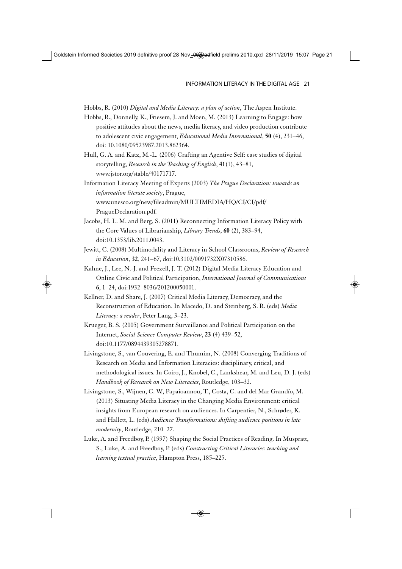Hobbs, R. (2010) *Digital and Media Literacy: a plan of action*, The Aspen Institute.

- Hobbs, R., Donnelly, K., Friesem, J. and Moen, M. (2013) Learning to Engage: how positive attitudes about the news, media literacy, and video production contribute to adolescent civic engagement, *Educational Media International*, **50** (4), 231–46, doi: 10.1080/09523987.2013.862364.
- Hull, G. A. and Katz, M.-L. (2006) Crafting an Agentive Self: case studies of digital storytelling, *Research in the Teaching of English*, **41**(1), 43–81, www.jstor.org/stable/40171717.

Information Literacy Meeting of Experts (2003) *The Prague Declaration: towards an information literate society*, Prague, www.unesco.org/new/fileadmin/MULTIMEDIA/HQ/CI/CI/pdf/ PragueDeclaration.pdf.

- Jacobs, H. L. M. and Berg, S. (2011) Reconnecting Information Literacy Policy with the Core Values of Librarianship, *Library Trends*, **60** (2), 383–94, doi:10.1353/lib.2011.0043.
- Jewitt, C. (2008) Multimodality and Literacy in School Classrooms, *Review of Research in Education*, **32**, 241–67, doi:10.3102/0091732X07310586.
- Kahne, J., Lee, N.-J. and Feezell, J. T. (2012) Digital Media Literacy Education and Online Civic and Political Participation, *International Journal of Communications* **6**, 1–24, doi:1932–8036/201200050001.
- Kellner, D. and Share, J. (2007) Critical Media Literacy, Democracy, and the Reconstruction of Education. In Macedo, D. and Steinberg, S. R. (eds) *Media Literacy: a reader*, Peter Lang, 3–23.
- Krueger, B. S. (2005) Government Surveillance and Political Participation on the Internet, *Social Science Computer Review*, **23** (4) 439–52, doi:10.1177/0894439305278871.
- Livingstone, S., van Couvering, E. and Thumim, N. (2008) Converging Traditions of Research on Media and Information Literacies: disciplinary, critical, and methodological issues. In Coiro, J., Knobel, C., Lankshear, M. and Leu, D. J. (eds) *Handbook of Research on New Literacies*, Routledge, 103–32.
- Livingstone, S., Wijnen, C. W., Papaioannou, T., Costa, C. and del Mar Grandío, M. (2013) Situating Media Literacy in the Changing Media Environment: critical insights from European research on audiences. In Carpentier, N., Schrøder, K. and Hallett, L. (eds) *Audience Transformations: shifting audience positions in late modernity*, Routledge, 210–27.
- Luke, A. and Freedboy, P. (1997) Shaping the Social Practices of Reading. In Muspratt, S., Luke, A. and Freedboy, P. (eds) *Constructing Critical Literacies: teaching and learning textual practice*, Hampton Press, 185–225.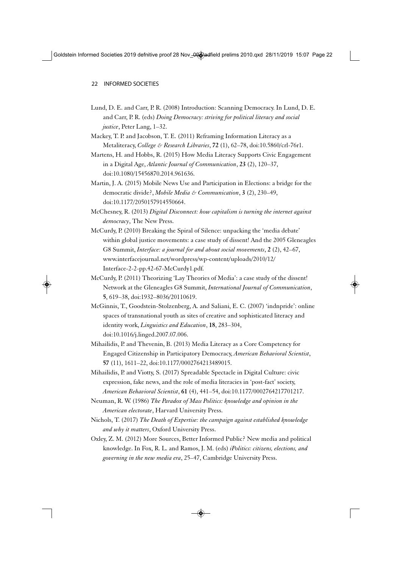- Lund, D. E. and Carr, P. R. (2008) Introduction: Scanning Democracy. In Lund, D. E. and Carr, P. R. (eds) *Doing Democracy: striving for political literacy and social justice*, Peter Lang, 1–32.
- Mackey, T. P. and Jacobson, T. E. (2011) Reframing Information Literacy as a Metaliteracy, *College & Research Libraries*, **72** (1), 62–78, doi:10.5860/crl-76r1.
- Martens, H. and Hobbs, R. (2015) How Media Literacy Supports Civic Engagement in a Digital Age, *Atlantic Journal of Communication*, **23** (2), 120–37, doi:10.1080/15456870.2014.961636.
- Martin, J. A. (2015) Mobile News Use and Participation in Elections: a bridge for the democratic divide?, *Mobile Media & Communication*, **3** (2), 230–49, doi:10.1177/2050157914550664.
- McChesney, R. (2013) *Digital Disconnect: how capitalism is turning the internet against democracy*, The New Press.
- McCurdy, P. (2010) Breaking the Spiral of Silence: unpacking the 'media debate' within global justice movements: a case study of dissent! And the 2005 Gleneagles G8 Summit, *Interface: a journal for and about social movements*, **2** (2), 42–67, www.interfacejournal.net/wordpress/wp-content/uploads/2010/12/ Interface-2-2-pp.42-67-McCurdy1.pdf.
- McCurdy, P. (2011) Theorizing 'Lay Theories of Media': a case study of the dissent! Network at the Gleneagles G8 Summit, *International Journal of Communication*, **5**, 619–38, doi:1932–8036/20110619.
- McGinnis, T., Goodstein-Stolzenberg, A. and Saliani, E. C. (2007) 'indnpride': online spaces of transnational youth as sites of creative and sophisticated literacy and identity work, *Linguistics and Education*, **18**, 283–304, doi:10.1016/j.linged.2007.07.006.
- Mihailidis, P. and Thevenin, B. (2013) Media Literacy as a Core Competency for Engaged Citizenship in Participatory Democracy, *American Behavioral Scientist*, **57** (11), 1611–22, doi:10.1177/0002764213489015.
- Mihailidis, P. and Viotty, S. (2017) Spreadable Spectacle in Digital Culture: civic expression, fake news, and the role of media literacies in 'post-fact' society, *American Behavioral Scientist*, **61** (4), 441–54, doi:10.1177/0002764217701217.
- Neuman, R. W. (1986) *The Paradox of Mass Politics: knowledge and opinion in the American electorate*, Harvard University Press.
- Nichols, T. (2017) *The Death of Expertise: the campaign against established knowledge and why it matters*, Oxford University Press.
- Oxley, Z. M. (2012) More Sources, Better Informed Public? New media and political knowledge. In Fox, R. L. and Ramos, J. M. (eds) *iPolitics: citizens, elections, and governing in the new media era*, 25–47, Cambridge University Press.